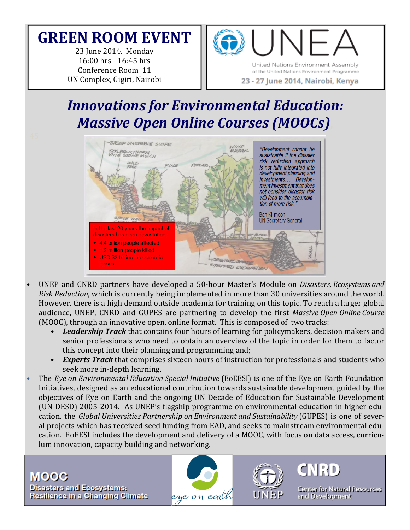# **GREEN ROOM EVENT**

23 June 2014, Monday 16:00 hrs - 16:45 hrs Conference Room 11 UN Complex, Gigiri, Nairobi 





23 - 27 June 2014, Nairobi, Kenya

# *Innovations for Environmental Education: Massive Open Online Courses (MOOCs)*,



- UNEP and CNRD partners have developed a 50-hour Master's Module on *Disasters, Ecosystems and Risk Reduction*, which is currently being implemented in more than 30 universities around the world. However, there is a high demand outside academia for training on this topic. To reach a larger global audience, UNEP, CNRD and GUPES are partnering to develop the first *Massive Open Online Course* (MOOC), through an innovative open, online format. This is composed of two tracks:
	- Leadership Track that contains four hours of learning for policymakers, decision makers and senior professionals who need to obtain an overview of the topic in order for them to factor this concept into their planning and programming and;
	- *Experts Track* that comprises sixteen hours of instruction for professionals and students who seek more in-depth learning.
- The *Eye on Environmental Education Special Initiative* (EoEESI) is one of the Eye on Earth Foundation Initiatives, designed as an educational contribution towards sustainable development guided by the objectives of Eye on Earth and the ongoing UN Decade of Education for Sustainable Development  $(UN-DESD)$  2005-2014. As UNEP's flagship programme on environmental education in higher education, the *Global Universities Partnership on Environment and Sustainability* (GUPES) is one of several projects which has received seed funding from EAD, and seeks to mainstream environmental education. EoEESI includes the development and delivery of a MOOC, with focus on data access, curriculum innovation, capacity building and networking.

**MOOC Disasters and Ecosystems:** Resilience in a Changing Climate





CNRD

Center for Natural Resources and Development